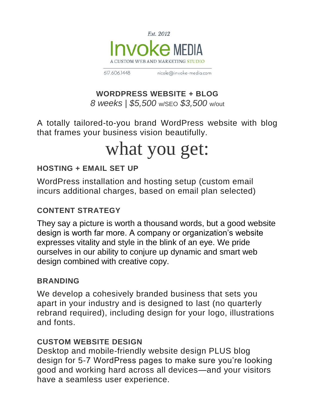

nicole@invoke-media.com 617.606.1448

## **WORDPRESS WEBSITE + BLOG**

*8 weeks | \$5,500* w/SEO *\$3,500* w/out

A totally tailored-to-you brand WordPress website with blog that frames your business vision beautifully.

# what you get:

# **HOSTING + EMAIL SET UP**

WordPress installation and hosting setup (custom email incurs additional charges, based on email plan selected)

# **CONTENT STRATEGY**

They say a picture is worth a thousand words, but a good website design is worth far more. A company or organization's website expresses vitality and style in the blink of an eye. We pride ourselves in our ability to conjure up dynamic and smart web design combined with creative copy.

#### **BRANDING**

We develop a cohesively branded business that sets you apart in your industry and is designed to last (no quarterly rebrand required), including design for your logo, illustrations and fonts.

#### **CUSTOM WEBSITE DESIGN**

Desktop and mobile-friendly website design PLUS blog design for 5-7 WordPress pages to make sure you're looking good and working hard across all devices—and your visitors have a seamless user experience.